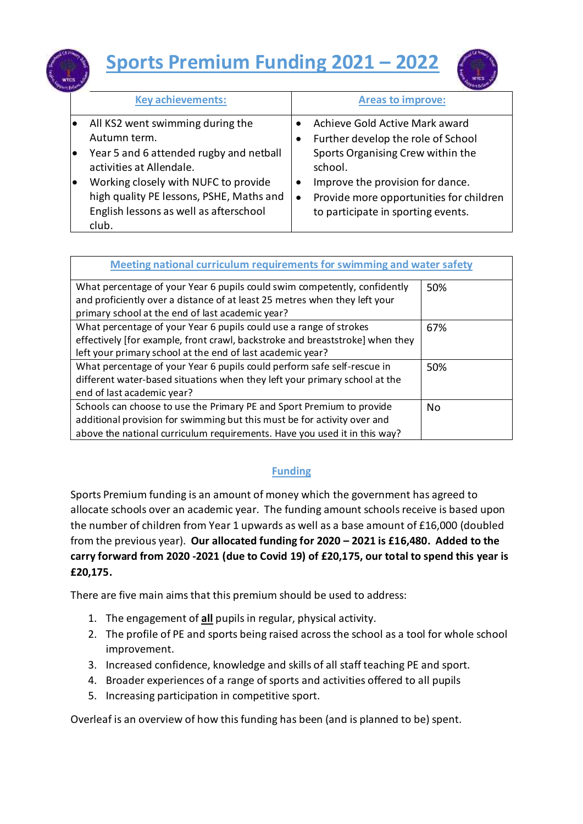



|           | <b>Key achievements:</b>                 |           | <b>Areas to improve:</b>                |  |
|-----------|------------------------------------------|-----------|-----------------------------------------|--|
| $\bullet$ | All KS2 went swimming during the         |           | Achieve Gold Active Mark award          |  |
|           | Autumn term.                             |           | Further develop the role of School      |  |
| $\bullet$ | Year 5 and 6 attended rugby and netball  |           | Sports Organising Crew within the       |  |
|           | activities at Allendale.                 |           | school.                                 |  |
| lo        | Working closely with NUFC to provide     | ٠         | Improve the provision for dance.        |  |
|           | high quality PE lessons, PSHE, Maths and | $\bullet$ | Provide more opportunities for children |  |
|           | English lessons as well as afterschool   |           | to participate in sporting events.      |  |
|           | club.                                    |           |                                         |  |

| Meeting national curriculum requirements for swimming and water safety                                                                                                                                                         |     |  |  |  |  |
|--------------------------------------------------------------------------------------------------------------------------------------------------------------------------------------------------------------------------------|-----|--|--|--|--|
| What percentage of your Year 6 pupils could swim competently, confidently<br>and proficiently over a distance of at least 25 metres when they left your<br>primary school at the end of last academic year?                    | 50% |  |  |  |  |
| What percentage of your Year 6 pupils could use a range of strokes<br>effectively [for example, front crawl, backstroke and breaststroke] when they<br>left your primary school at the end of last academic year?              | 67% |  |  |  |  |
| What percentage of your Year 6 pupils could perform safe self-rescue in<br>different water-based situations when they left your primary school at the<br>end of last academic year?                                            | 50% |  |  |  |  |
| Schools can choose to use the Primary PE and Sport Premium to provide<br>additional provision for swimming but this must be for activity over and<br>above the national curriculum requirements. Have you used it in this way? | No. |  |  |  |  |

## **Funding**

Sports Premium funding is an amount of money which the government has agreed to allocate schools over an academic year. The funding amount schools receive is based upon the number of children from Year 1 upwards as well as a base amount of £16,000 (doubled from the previous year). **Our allocated funding for 2020 – 2021 is £16,480. Added to the carry forward from 2020 -2021 (due to Covid 19) of £20,175, our total to spend this year is £20,175.**

There are five main aims that this premium should be used to address:

- 1. The engagement of **all** pupils in regular, physical activity.
- 2. The profile of PE and sports being raised across the school as a tool for whole school improvement.
- 3. Increased confidence, knowledge and skills of all staff teaching PE and sport.
- 4. Broader experiences of a range of sports and activities offered to all pupils
- 5. Increasing participation in competitive sport.

Overleaf is an overview of how this funding has been (and is planned to be) spent.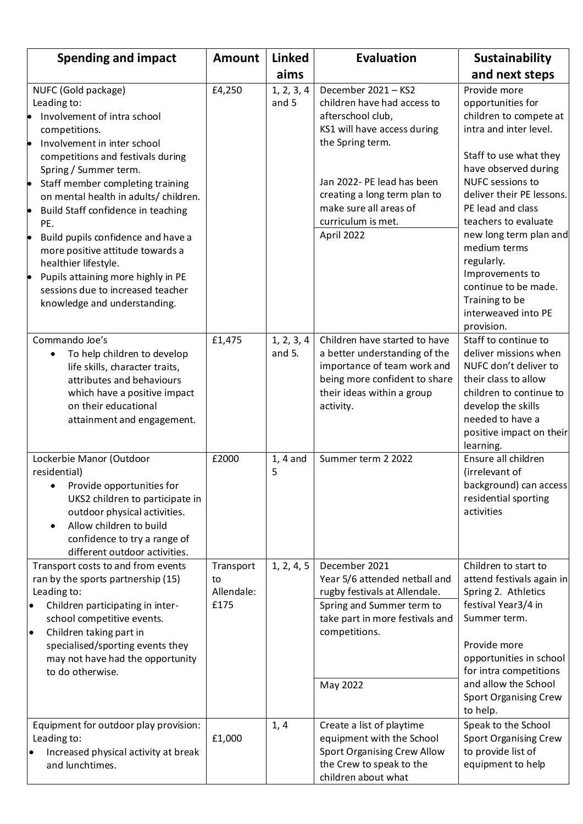| <b>Spending and impact</b>                                                                                                                                                                                                                                                                                                                                                                                                                                                                                                                              | <b>Amount</b>                         | <b>Linked</b>          | <b>Evaluation</b>                                                                                                                                                                                                                                      | Sustainability                                                                                                                                                                                                                                                                                                                                                                                  |
|---------------------------------------------------------------------------------------------------------------------------------------------------------------------------------------------------------------------------------------------------------------------------------------------------------------------------------------------------------------------------------------------------------------------------------------------------------------------------------------------------------------------------------------------------------|---------------------------------------|------------------------|--------------------------------------------------------------------------------------------------------------------------------------------------------------------------------------------------------------------------------------------------------|-------------------------------------------------------------------------------------------------------------------------------------------------------------------------------------------------------------------------------------------------------------------------------------------------------------------------------------------------------------------------------------------------|
|                                                                                                                                                                                                                                                                                                                                                                                                                                                                                                                                                         |                                       | aims                   |                                                                                                                                                                                                                                                        | and next steps                                                                                                                                                                                                                                                                                                                                                                                  |
| NUFC (Gold package)<br>Leading to:<br>Involvement of intra school<br>competitions.<br>Involvement in inter school<br><b>lo</b><br>competitions and festivals during<br>Spring / Summer term.<br>Staff member completing training<br>þ<br>on mental health in adults/ children.<br>Build Staff confidence in teaching<br>þ<br>PE.<br>Build pupils confidence and have a<br>þ<br>more positive attitude towards a<br>healthier lifestyle.<br>Pupils attaining more highly in PE<br>þ<br>sessions due to increased teacher<br>knowledge and understanding. | £4,250                                | 1, 2, 3, 4<br>and 5    | December 2021 - KS2<br>children have had access to<br>afterschool club,<br>KS1 will have access during<br>the Spring term.<br>Jan 2022- PE lead has been<br>creating a long term plan to<br>make sure all areas of<br>curriculum is met.<br>April 2022 | Provide more<br>opportunities for<br>children to compete at<br>intra and inter level.<br>Staff to use what they<br>have observed during<br>NUFC sessions to<br>deliver their PE lessons.<br>PE lead and class<br>teachers to evaluate<br>new long term plan and<br>medium terms<br>regularly.<br>Improvements to<br>continue to be made.<br>Training to be<br>interweaved into PE<br>provision. |
| Commando Joe's<br>To help children to develop<br>$\bullet$<br>life skills, character traits,<br>attributes and behaviours<br>which have a positive impact<br>on their educational<br>attainment and engagement.                                                                                                                                                                                                                                                                                                                                         | £1,475                                | 1, 2, 3, 4<br>and $5.$ | Children have started to have<br>a better understanding of the<br>importance of team work and<br>being more confident to share<br>their ideas within a group<br>activity.                                                                              | Staff to continue to<br>deliver missions when<br>NUFC don't deliver to<br>their class to allow<br>children to continue to<br>develop the skills<br>needed to have a<br>positive impact on their<br>learning.                                                                                                                                                                                    |
| Lockerbie Manor (Outdoor<br>residential)<br>Provide opportunities for<br>UKS2 children to participate in<br>outdoor physical activities.<br>Allow children to build<br>$\bullet$<br>confidence to try a range of<br>different outdoor activities.                                                                                                                                                                                                                                                                                                       | £2000                                 | $1, 4$ and<br>5        | Summer term 2 2022                                                                                                                                                                                                                                     | Ensure all children<br>(irrelevant of<br>background) can access<br>residential sporting<br>activities                                                                                                                                                                                                                                                                                           |
| Transport costs to and from events<br>ran by the sports partnership (15)<br>Leading to:<br>Children participating in inter-<br>$\bullet$<br>school competitive events.<br>Children taking part in<br>$\bullet$<br>specialised/sporting events they<br>may not have had the opportunity<br>to do otherwise.                                                                                                                                                                                                                                              | Transport<br>to<br>Allendale:<br>£175 | 1, 2, 4, 5             | December 2021<br>Year 5/6 attended netball and<br>rugby festivals at Allendale.<br>Spring and Summer term to<br>take part in more festivals and<br>competitions.<br>May 2022                                                                           | Children to start to<br>attend festivals again in<br>Spring 2. Athletics<br>festival Year3/4 in<br>Summer term.<br>Provide more<br>opportunities in school<br>for intra competitions<br>and allow the School<br><b>Sport Organising Crew</b><br>to help.                                                                                                                                        |
| Equipment for outdoor play provision:<br>Leading to:<br>Increased physical activity at break<br>٠<br>and lunchtimes.                                                                                                                                                                                                                                                                                                                                                                                                                                    | £1,000                                | 1, 4                   | Create a list of playtime<br>equipment with the School<br><b>Sport Organising Crew Allow</b><br>the Crew to speak to the<br>children about what                                                                                                        | Speak to the School<br><b>Sport Organising Crew</b><br>to provide list of<br>equipment to help                                                                                                                                                                                                                                                                                                  |